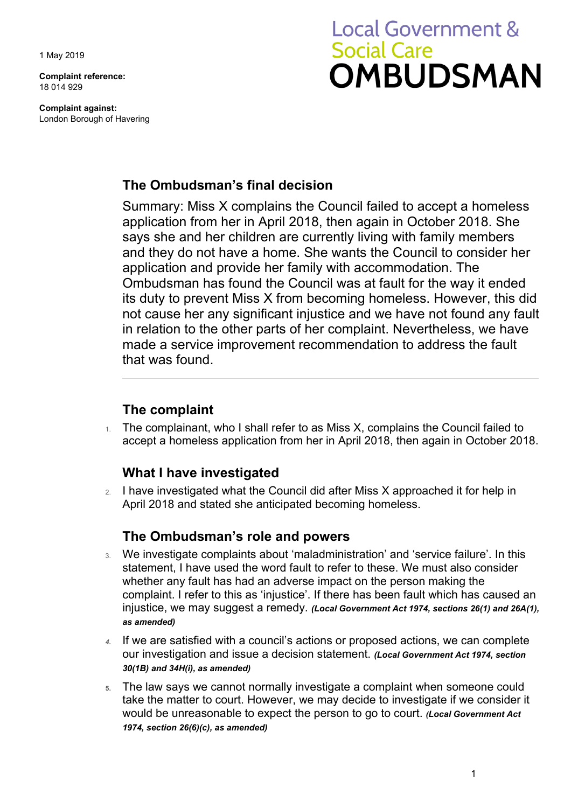1 May 2019

**Complaint reference:**  18 014 929

**Complaint against:**  London Borough of Havering

# **Local Government & Social Care OMBUDSMAN**

## **The Ombudsman's final decision**

Summary: Miss X complains the Council failed to accept a homeless application from her in April 2018, then again in October 2018. She says she and her children are currently living with family members and they do not have a home. She wants the Council to consider her application and provide her family with accommodation. The Ombudsman has found the Council was at fault for the way it ended its duty to prevent Miss X from becoming homeless. However, this did not cause her any significant injustice and we have not found any fault in relation to the other parts of her complaint. Nevertheless, we have made a service improvement recommendation to address the fault that was found.

## **The complaint**

 accept a homeless application from her in April 2018, then again in October 2018. 1. The complainant, who I shall refer to as Miss X, complains the Council failed to

## **What I have investigated**

2. I have investigated what the Council did after Miss X approached it for help in April 2018 and stated she anticipated becoming homeless.

## **The Ombudsman's role and powers**

- 3. We investigate complaints about 'maladministration' and 'service failure'. In this statement, I have used the word fault to refer to these. We must also consider whether any fault has had an adverse impact on the person making the complaint. I refer to this as 'injustice'. If there has been fault which has caused an injustice, we may suggest a remedy. *(Local Government Act 1974, sections 26(1) and 26A(1), as amended)*
- our investigation and issue a decision statement. *(Local Government Act 1974, section 4.* If we are satisfied with a council's actions or proposed actions, we can complete *30(1B) and 34H(i), as amended)*
- would be unreasonable to expect the person to go to court. *(Local Government Act*  **5.** The law says we cannot normally investigate a complaint when someone could take the matter to court. However, we may decide to investigate if we consider it *1974, section 26(6)(c), as amended)*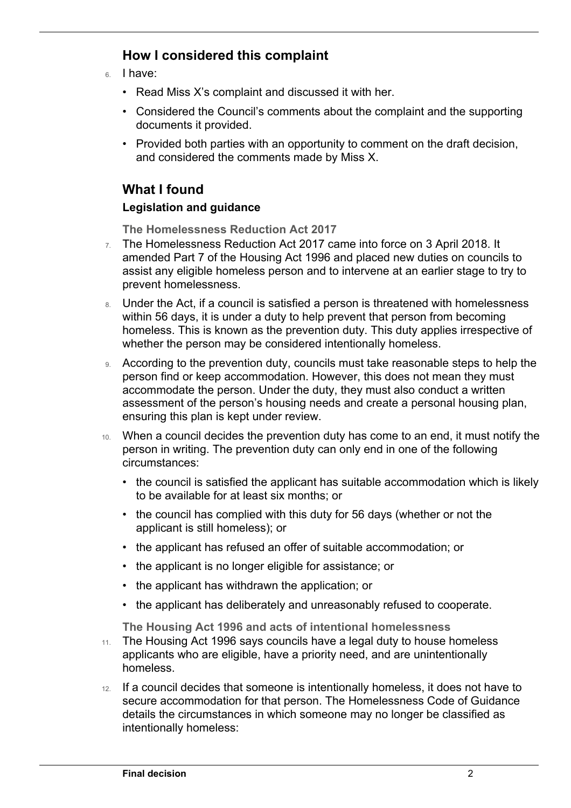# **How I considered this complaint**

6. I have:

 $\overline{a}$ 

- Read Miss X's complaint and discussed it with her.
- • Considered the Council's comments about the complaint and the supporting documents it provided.
- • Provided both parties with an opportunity to comment on the draft decision, and considered the comments made by Miss X.

# **What I found**

### **Legislation and guidance**

**The Homelessness Reduction Act 2017** 

- $7.$  The Homelessness Reduction Act 2017 came into force on 3 April 2018. It amended Part 7 of the Housing Act 1996 and placed new duties on councils to assist any eligible homeless person and to intervene at an earlier stage to try to prevent homelessness.
- 8. Under the Act, if a council is satisfied a person is threatened with homelessness within 56 days, it is under a duty to help prevent that person from becoming homeless. This is known as the prevention duty. This duty applies irrespective of whether the person may be considered intentionally homeless.
- accommodate the person. Under the duty, they must also conduct a written 9. According to the prevention duty, councils must take reasonable steps to help the person find or keep accommodation. However, this does not mean they must assessment of the person's housing needs and create a personal housing plan, ensuring this plan is kept under review.
- 10. When a council decides the prevention duty has come to an end, it must notify the person in writing. The prevention duty can only end in one of the following circumstances:
	- the council is satisfied the applicant has suitable accommodation which is likely to be available for at least six months; or
	- the council has complied with this duty for 56 days (whether or not the applicant is still homeless); or
	- the applicant has refused an offer of suitable accommodation; or
	- the applicant is no longer eligible for assistance; or
	- the applicant has withdrawn the application; or
	- the applicant has deliberately and unreasonably refused to cooperate.

**The Housing Act 1996 and acts of intentional homelessness** 

- applicants who are eligible, have a priority need, and are unintentionally 11. The Housing Act 1996 says councils have a legal duty to house homeless homeless.
- 12. If a council decides that someone is intentionally homeless, it does not have to secure accommodation for that person. The Homelessness Code of Guidance details the circumstances in which someone may no longer be classified as intentionally homeless: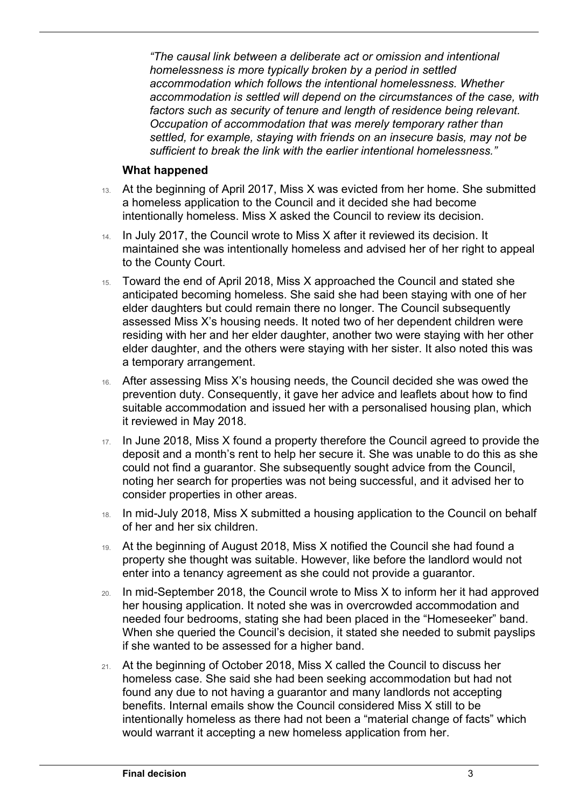*"The causal link between a deliberate act or omission and intentional*  accommodation is settled will depend on the circumstances of the case, with *homelessness is more typically broken by a period in settled accommodation which follows the intentional homelessness. Whether factors such as security of tenure and length of residence being relevant. Occupation of accommodation that was merely temporary rather than settled, for example, staying with friends on an insecure basis, may not be sufficient to break the link with the earlier intentional homelessness."* 

#### **What happened**

 $\overline{a}$ 

- 13. At the beginning of April 2017, Miss X was evicted from her home. She submitted a homeless application to the Council and it decided she had become intentionally homeless. Miss X asked the Council to review its decision.
- 14. In July 2017, the Council wrote to Miss X after it reviewed its decision. It maintained she was intentionally homeless and advised her of her right to appeal to the County Court.
- 15. Toward the end of April 2018, Miss X approached the Council and stated she anticipated becoming homeless. She said she had been staying with one of her elder daughters but could remain there no longer. The Council subsequently assessed Miss X's housing needs. It noted two of her dependent children were residing with her and her elder daughter, another two were staying with her other elder daughter, and the others were staying with her sister. It also noted this was a temporary arrangement.
- 16. After assessing Miss X's housing needs, the Council decided she was owed the prevention duty. Consequently, it gave her advice and leaflets about how to find suitable accommodation and issued her with a personalised housing plan, which it reviewed in May 2018.
- 17. In June 2018, Miss X found a property therefore the Council agreed to provide the deposit and a month's rent to help her secure it. She was unable to do this as she could not find a guarantor. She subsequently sought advice from the Council, noting her search for properties was not being successful, and it advised her to consider properties in other areas.
- 18. In mid-July 2018, Miss X submitted a housing application to the Council on behalf of her and her six children.
- property she thought was suitable. However, like before the landlord would not enter into a tenancy agreement as she could not provide a guarantor. 19. At the beginning of August 2018, Miss X notified the Council she had found a
- 20. In mid-September 2018, the Council wrote to Miss X to inform her it had approved if she wanted to be assessed for a higher band. her housing application. It noted she was in overcrowded accommodation and needed four bedrooms, stating she had been placed in the "Homeseeker" band. When she queried the Council's decision, it stated she needed to submit payslips
- would warrant it accepting a new homeless application from her. 21. At the beginning of October 2018, Miss X called the Council to discuss her homeless case. She said she had been seeking accommodation but had not found any due to not having a guarantor and many landlords not accepting benefits. Internal emails show the Council considered Miss X still to be intentionally homeless as there had not been a "material change of facts" which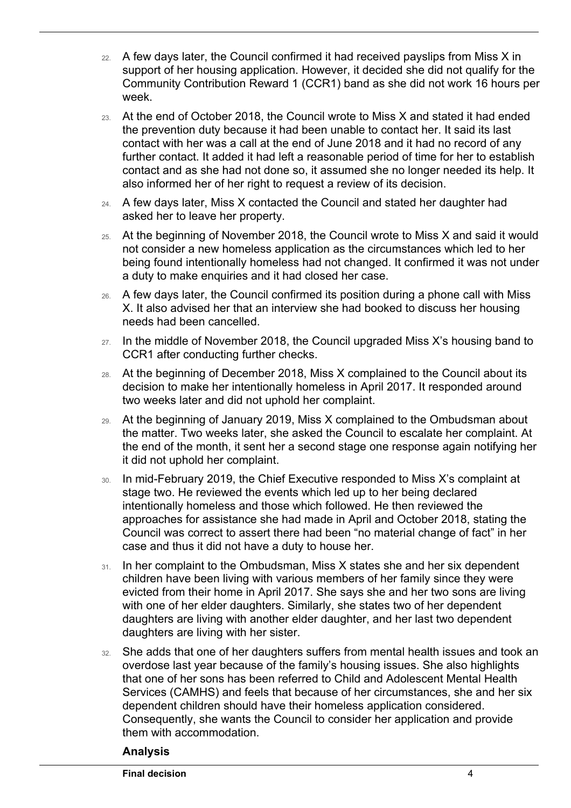- 22. A few days later, the Council confirmed it had received payslips from Miss X in support of her housing application. However, it decided she did not qualify for the Community Contribution Reward 1 (CCR1) band as she did not work 16 hours per week.
- the prevention duty because it had been unable to contact her. It said its last 23. At the end of October 2018, the Council wrote to Miss X and stated it had ended contact with her was a call at the end of June 2018 and it had no record of any further contact. It added it had left a reasonable period of time for her to establish contact and as she had not done so, it assumed she no longer needed its help. It also informed her of her right to request a review of its decision.
- 24. A few days later, Miss X contacted the Council and stated her daughter had asked her to leave her property.
- being found intentionally homeless had not changed. It confirmed it was not under 25. At the beginning of November 2018, the Council wrote to Miss X and said it would not consider a new homeless application as the circumstances which led to her a duty to make enquiries and it had closed her case.
- 26. A few days later, the Council confirmed its position during a phone call with Miss X. It also advised her that an interview she had booked to discuss her housing needs had been cancelled.
- 27. In the middle of November 2018, the Council upgraded Miss X's housing band to CCR1 after conducting further checks.
- 28. At the beginning of December 2018, Miss X complained to the Council about its decision to make her intentionally homeless in April 2017. It responded around two weeks later and did not uphold her complaint.
- the matter. Two weeks later, she asked the Council to escalate her complaint. At 29. At the beginning of January 2019, Miss X complained to the Ombudsman about the end of the month, it sent her a second stage one response again notifying her it did not uphold her complaint.
- 30. In mid-February 2019, the Chief Executive responded to Miss X's complaint at stage two. He reviewed the events which led up to her being declared intentionally homeless and those which followed. He then reviewed the approaches for assistance she had made in April and October 2018, stating the Council was correct to assert there had been "no material change of fact" in her case and thus it did not have a duty to house her.
- daughters are living with another elder daughter, and her last two dependent 31. In her complaint to the Ombudsman, Miss X states she and her six dependent children have been living with various members of her family since they were evicted from their home in April 2017. She says she and her two sons are living with one of her elder daughters. Similarly, she states two of her dependent daughters are living with her sister.
- Services (CAMHS) and feels that because of her circumstances, she and her six 32. She adds that one of her daughters suffers from mental health issues and took an overdose last year because of the family's housing issues. She also highlights that one of her sons has been referred to Child and Adolescent Mental Health dependent children should have their homeless application considered. Consequently, she wants the Council to consider her application and provide them with accommodation.

#### **Analysis**

 $\overline{a}$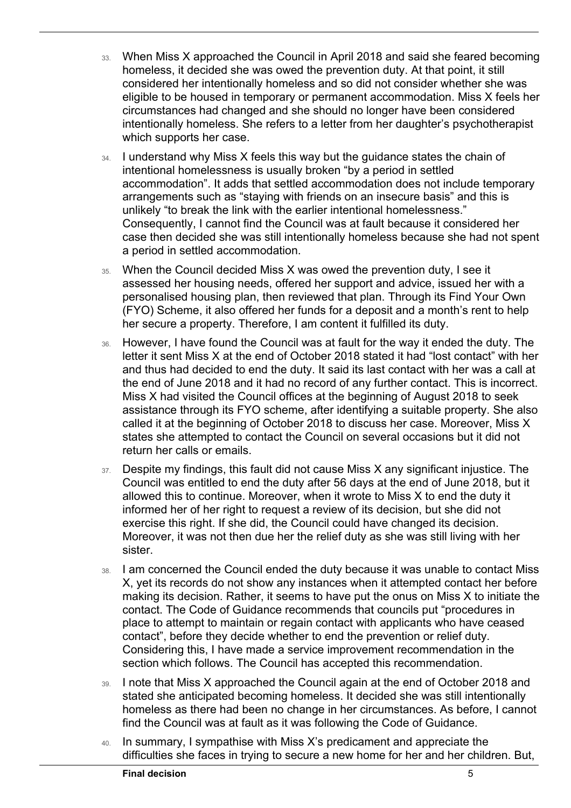- 33. When Miss X approached the Council in April 2018 and said she feared becoming homeless, it decided she was owed the prevention duty. At that point, it still considered her intentionally homeless and so did not consider whether she was eligible to be housed in temporary or permanent accommodation. Miss X feels her circumstances had changed and she should no longer have been considered intentionally homeless. She refers to a letter from her daughter's psychotherapist which supports her case.
- 34. I understand why Miss X feels this way but the guidance states the chain of intentional homelessness is usually broken "by a period in settled accommodation". It adds that settled accommodation does not include temporary arrangements such as "staying with friends on an insecure basis" and this is unlikely "to break the link with the earlier intentional homelessness." Consequently, I cannot find the Council was at fault because it considered her case then decided she was still intentionally homeless because she had not spent a period in settled accommodation.
- 35. When the Council decided Miss X was owed the prevention duty, I see it assessed her housing needs, offered her support and advice, issued her with a personalised housing plan, then reviewed that plan. Through its Find Your Own (FYO) Scheme, it also offered her funds for a deposit and a month's rent to help her secure a property. Therefore, I am content it fulfilled its duty.
- 36. However, I have found the Council was at fault for the way it ended the duty. The and thus had decided to end the duty. It said its last contact with her was a call at Miss X had visited the Council offices at the beginning of August 2018 to seek letter it sent Miss X at the end of October 2018 stated it had "lost contact" with her the end of June 2018 and it had no record of any further contact. This is incorrect. assistance through its FYO scheme, after identifying a suitable property. She also called it at the beginning of October 2018 to discuss her case. Moreover, Miss X states she attempted to contact the Council on several occasions but it did not return her calls or emails.
- Moreover, it was not then due her the relief duty as she was still living with her 37. Despite my findings, this fault did not cause Miss X any significant injustice. The Council was entitled to end the duty after 56 days at the end of June 2018, but it allowed this to continue. Moreover, when it wrote to Miss X to end the duty it informed her of her right to request a review of its decision, but she did not exercise this right. If she did, the Council could have changed its decision. sister.
- place to attempt to maintain or regain contact with applicants who have ceased Considering this, I have made a service improvement recommendation in the 38. I am concerned the Council ended the duty because it was unable to contact Miss X, yet its records do not show any instances when it attempted contact her before making its decision. Rather, it seems to have put the onus on Miss X to initiate the contact. The Code of Guidance recommends that councils put "procedures in contact", before they decide whether to end the prevention or relief duty. section which follows. The Council has accepted this recommendation.
- 39. I note that Miss X approached the Council again at the end of October 2018 and stated she anticipated becoming homeless. It decided she was still intentionally homeless as there had been no change in her circumstances. As before, I cannot find the Council was at fault as it was following the Code of Guidance.
- 40. In summary, I sympathise with Miss X's predicament and appreciate the difficulties she faces in trying to secure a new home for her and her children. But,

 $\overline{a}$